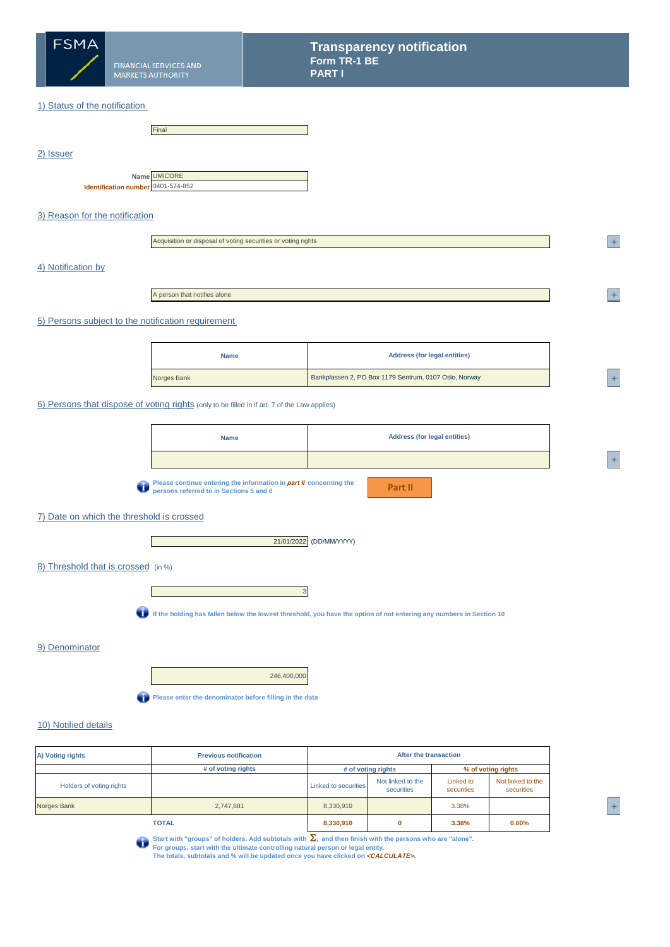

### 1) Status of the notification

|                                                    | Final |
|----------------------------------------------------|-------|
|                                                    |       |
|                                                    |       |
|                                                    |       |
|                                                    |       |
| Name UMICORE<br>Identification number 0401-574-852 |       |
|                                                    |       |
|                                                    |       |

### 3) Reason for the notification

| Acquisition or disposal of voting securities or voting rights |  |
|---------------------------------------------------------------|--|
|                                                               |  |
|                                                               |  |

### 4) Notification by

2) Issuer

A person that notifies alone

#### 5) Persons subject to the notification requirement

| <b>Address (for legal entities)</b><br><b>Name</b>                   |  |
|----------------------------------------------------------------------|--|
| Bankplassen 2, PO Box 1179 Sentrum, 0107 Oslo, Norway<br>Norges Bank |  |

#### 6) Persons that dispose of voting rights (only to be filled in if art. 7 of the Law applies)

| <b>Name</b> | <b>Address (for legal entities)</b> |
|-------------|-------------------------------------|
|             |                                     |

**Please continue entering the information in** *part II* **concerning the persons referred to in Sections 5 and 6**

**Part II**

**<sup>1</sup> +** 

**<sup>A</sup> +** 

### 7) Date on which the threshold is crossed

 $\mathbf{I}$ 



8) Threshold that is crossed (in %)



**If the holding has fallen below the lowest threshold, you have the option of not entering any numbers in Section 10**

#### 9) Denominator

246,400,000

**Please enter the denominator before filling in the data** 

### 10) Notified details

| A) Voting rights         | After the transaction |                             |                                 |                         |                                 |
|--------------------------|-----------------------|-----------------------------|---------------------------------|-------------------------|---------------------------------|
|                          | # of voting rights    | # of voting rights          |                                 |                         | % of voting rights              |
| Holders of voting rights |                       | <b>Linked to securities</b> | Not linked to the<br>securities | Linked to<br>securities | Not linked to the<br>securities |
| Norges Bank<br>2,747,681 |                       | 8,330,910                   |                                 | 3.38%                   |                                 |
| <b>TOTAL</b>             |                       | 8,330,910                   | 0                               | 3.38%                   | $0.00\%$                        |

Start with "groups" of holders. Add subtotals with Σ, and then finish with the persons who are "alone".<br>For groups, start with the ultimate controlling natural person or legal entity.<br>The totals, subtotals and % will be u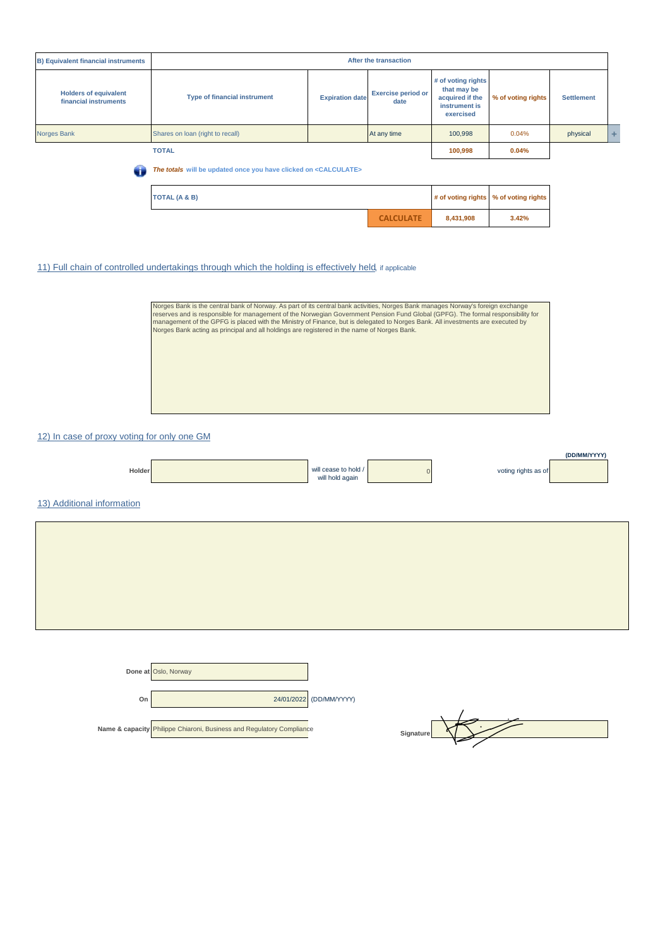| <b>TOTAL (A &amp; B)</b>                                                          |                                     |                        | # of voting rights                | % of voting rights                                                                 |                    |                   |   |
|-----------------------------------------------------------------------------------|-------------------------------------|------------------------|-----------------------------------|------------------------------------------------------------------------------------|--------------------|-------------------|---|
| The totals will be updated once you have clicked on <calculate><br/>Œ</calculate> |                                     |                        |                                   |                                                                                    |                    |                   |   |
| <b>TOTAL</b>                                                                      |                                     |                        |                                   |                                                                                    | 0.04%              |                   |   |
| <b>Norges Bank</b>                                                                | Shares on loan (right to recall)    |                        | At any time                       | 100,998                                                                            | 0.04%              | physical          | ÷ |
| <b>Holders of equivalent</b><br>financial instruments                             | <b>Type of financial instrument</b> | <b>Expiration date</b> | <b>Exercise period or</b><br>date | # of voting rights<br>that may be<br>acquired if the<br>instrument is<br>exercised | % of voting rights | <b>Settlement</b> |   |
| After the transaction<br><b>B) Equivalent financial instruments</b>               |                                     |                        |                                   |                                                                                    |                    |                   |   |

### 11) Full chain of controlled undertakings through which the holding is effectively held, if applicable



**CALCULATE 8,431,908 3.42%**

### 12) In case of proxy voting for only one GM

| Holder                     | will cease to hold /<br>will hold again | voting rights as of | (DD/MM/YYYY) |
|----------------------------|-----------------------------------------|---------------------|--------------|
| 13) Additional information |                                         |                     |              |
|                            |                                         |                     |              |
|                            |                                         |                     |              |
|                            |                                         |                     |              |
|                            |                                         |                     |              |